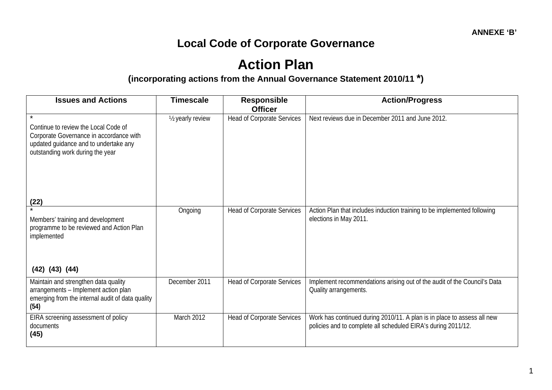## **Local Code of Corporate Governance**

## **Action Plan (incorporating actions from the Annual Governance Statement 2010/11 \*)**

| <b>Issues and Actions</b>                                                                                                                                               | <b>Timescale</b>              | <b>Responsible</b><br><b>Officer</b> | <b>Action/Progress</b>                                                                                                                   |
|-------------------------------------------------------------------------------------------------------------------------------------------------------------------------|-------------------------------|--------------------------------------|------------------------------------------------------------------------------------------------------------------------------------------|
| $\star$<br>Continue to review the Local Code of<br>Corporate Governance in accordance with<br>updated guidance and to undertake any<br>outstanding work during the year | 1/ <sub>2</sub> yearly review | <b>Head of Corporate Services</b>    | Next reviews due in December 2011 and June 2012.                                                                                         |
| $\frac{(22)}{4}$                                                                                                                                                        |                               |                                      |                                                                                                                                          |
| Members' training and development<br>programme to be reviewed and Action Plan<br>implemented                                                                            | Ongoing                       | <b>Head of Corporate Services</b>    | Action Plan that includes induction training to be implemented following<br>elections in May 2011.                                       |
| $(42)$ $(43)$ $(44)$                                                                                                                                                    |                               |                                      |                                                                                                                                          |
| Maintain and strengthen data quality<br>arrangements - Implement action plan<br>emerging from the internal audit of data quality<br>(54)                                | December 2011                 | <b>Head of Corporate Services</b>    | Implement recommendations arising out of the audit of the Council's Data<br>Quality arrangements.                                        |
| EIRA screening assessment of policy<br>documents<br>(45)                                                                                                                | March 2012                    | <b>Head of Corporate Services</b>    | Work has continued during 2010/11. A plan is in place to assess all new<br>policies and to complete all scheduled EIRA's during 2011/12. |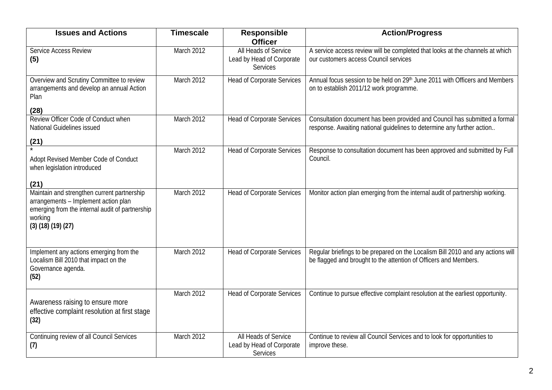| <b>Issues and Actions</b>                                                                                                                                                       | <b>Timescale</b> | Responsible<br><b>Officer</b>                                 | <b>Action/Progress</b>                                                                                                                               |
|---------------------------------------------------------------------------------------------------------------------------------------------------------------------------------|------------------|---------------------------------------------------------------|------------------------------------------------------------------------------------------------------------------------------------------------------|
| Service Access Review<br>(5)                                                                                                                                                    | March 2012       | All Heads of Service<br>Lead by Head of Corporate<br>Services | A service access review will be completed that looks at the channels at which<br>our customers access Council services                               |
| Overview and Scrutiny Committee to review<br>arrangements and develop an annual Action<br>Plan                                                                                  | March 2012       | <b>Head of Corporate Services</b>                             | Annual focus session to be held on 29th June 2011 with Officers and Members<br>on to establish 2011/12 work programme.                               |
| (28)                                                                                                                                                                            |                  |                                                               |                                                                                                                                                      |
| Review Officer Code of Conduct when<br>National Guidelines issued                                                                                                               | March 2012       | <b>Head of Corporate Services</b>                             | Consultation document has been provided and Council has submitted a formal<br>response. Awaiting national guidelines to determine any further action |
| (21)                                                                                                                                                                            |                  |                                                               |                                                                                                                                                      |
| Adopt Revised Member Code of Conduct<br>when legislation introduced<br>(21)                                                                                                     | March 2012       | <b>Head of Corporate Services</b>                             | Response to consultation document has been approved and submitted by Full<br>Council.                                                                |
| Maintain and strengthen current partnership<br>arrangements - Implement action plan<br>emerging from the internal audit of partnership<br>working<br>$(3)$ $(18)$ $(19)$ $(27)$ | March 2012       | <b>Head of Corporate Services</b>                             | Monitor action plan emerging from the internal audit of partnership working.                                                                         |
| Implement any actions emerging from the<br>Localism Bill 2010 that impact on the<br>Governance agenda.<br>(52)                                                                  | March 2012       | <b>Head of Corporate Services</b>                             | Regular briefings to be prepared on the Localism Bill 2010 and any actions will<br>be flagged and brought to the attention of Officers and Members.  |
| Awareness raising to ensure more<br>effective complaint resolution at first stage<br>(32)                                                                                       | March 2012       | <b>Head of Corporate Services</b>                             | Continue to pursue effective complaint resolution at the earliest opportunity.                                                                       |
| Continuing review of all Council Services<br>(7)                                                                                                                                | March 2012       | All Heads of Service<br>Lead by Head of Corporate<br>Services | Continue to review all Council Services and to look for opportunities to<br>improve these.                                                           |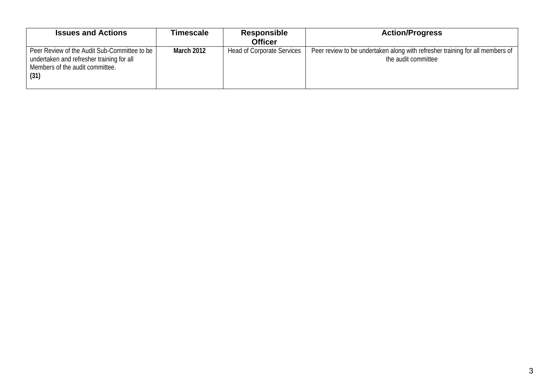| <b>Issues and Actions</b>                                                                                                            | Timescale  | <b>Responsible</b><br><b>Officer</b> | <b>Action/Progress</b>                                                                               |
|--------------------------------------------------------------------------------------------------------------------------------------|------------|--------------------------------------|------------------------------------------------------------------------------------------------------|
| Peer Review of the Audit Sub-Committee to be<br>undertaken and refresher training for all<br>Members of the audit committee.<br>(31) | March 2012 | <b>Head of Corporate Services</b>    | Peer review to be undertaken along with refresher training for all members of<br>the audit committee |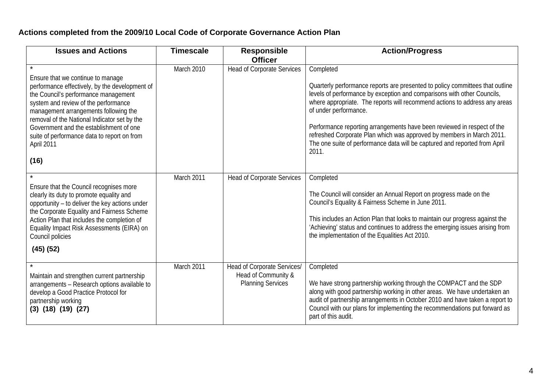## **Actions completed from the 2009/10 Local Code of Corporate Governance Action Plan**

| <b>Issues and Actions</b>                                                                                                                                                                                                                                                                                                                                                    | <b>Timescale</b> | <b>Responsible</b><br><b>Officer</b>                                           | <b>Action/Progress</b>                                                                                                                                                                                                                                                                                                                                                                                                                                                                                                  |
|------------------------------------------------------------------------------------------------------------------------------------------------------------------------------------------------------------------------------------------------------------------------------------------------------------------------------------------------------------------------------|------------------|--------------------------------------------------------------------------------|-------------------------------------------------------------------------------------------------------------------------------------------------------------------------------------------------------------------------------------------------------------------------------------------------------------------------------------------------------------------------------------------------------------------------------------------------------------------------------------------------------------------------|
| Ensure that we continue to manage<br>performance effectively, by the development of<br>the Council's performance management<br>system and review of the performance<br>management arrangements following the<br>removal of the National Indicator set by the<br>Government and the establishment of one<br>suite of performance data to report on from<br>April 2011<br>(16) | March 2010       | <b>Head of Corporate Services</b>                                              | Completed<br>Quarterly performance reports are presented to policy committees that outline<br>levels of performance by exception and comparisons with other Councils,<br>where appropriate. The reports will recommend actions to address any areas<br>of under performance.<br>Performance reporting arrangements have been reviewed in respect of the<br>refreshed Corporate Plan which was approved by members in March 2011.<br>The one suite of performance data will be captured and reported from April<br>2011. |
| Ensure that the Council recognises more<br>clearly its duty to promote equality and<br>opportunity - to deliver the key actions under<br>the Corporate Equality and Fairness Scheme<br>Action Plan that includes the completion of<br>Equality Impact Risk Assessments (EIRA) on<br>Council policies<br>$(45)$ $(52)$                                                        | March 2011       | <b>Head of Corporate Services</b>                                              | Completed<br>The Council will consider an Annual Report on progress made on the<br>Council's Equality & Fairness Scheme in June 2011.<br>This includes an Action Plan that looks to maintain our progress against the<br>'Achieving' status and continues to address the emerging issues arising from<br>the implementation of the Equalities Act 2010.                                                                                                                                                                 |
| Maintain and strengthen current partnership<br>arrangements - Research options available to<br>develop a Good Practice Protocol for<br>partnership working<br>$(3)$ $(18)$ $(19)$ $(27)$                                                                                                                                                                                     | March 2011       | Head of Corporate Services/<br>Head of Community &<br><b>Planning Services</b> | Completed<br>We have strong partnership working through the COMPACT and the SDP<br>along with good partnership working in other areas. We have undertaken an<br>audit of partnership arrangements in October 2010 and have taken a report to<br>Council with our plans for implementing the recommendations put forward as<br>part of this audit.                                                                                                                                                                       |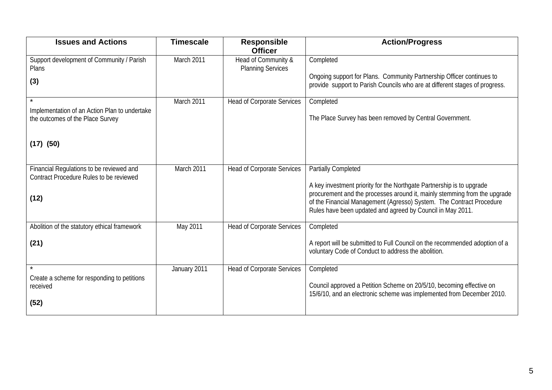| <b>Issues and Actions</b>                                                           | <b>Timescale</b> | <b>Responsible</b><br><b>Officer</b>            | <b>Action/Progress</b>                                                                                                                                                                                                                                                                   |
|-------------------------------------------------------------------------------------|------------------|-------------------------------------------------|------------------------------------------------------------------------------------------------------------------------------------------------------------------------------------------------------------------------------------------------------------------------------------------|
| Support development of Community / Parish<br>Plans                                  | March 2011       | Head of Community &<br><b>Planning Services</b> | Completed                                                                                                                                                                                                                                                                                |
| (3)                                                                                 |                  |                                                 | Ongoing support for Plans. Community Partnership Officer continues to<br>provide support to Parish Councils who are at different stages of progress.                                                                                                                                     |
| Implementation of an Action Plan to undertake                                       | March 2011       | <b>Head of Corporate Services</b>               | Completed                                                                                                                                                                                                                                                                                |
| the outcomes of the Place Survey                                                    |                  |                                                 | The Place Survey has been removed by Central Government.                                                                                                                                                                                                                                 |
| $(17)$ $(50)$                                                                       |                  |                                                 |                                                                                                                                                                                                                                                                                          |
| Financial Regulations to be reviewed and<br>Contract Procedure Rules to be reviewed | March 2011       | <b>Head of Corporate Services</b>               | <b>Partially Completed</b>                                                                                                                                                                                                                                                               |
| (12)                                                                                |                  |                                                 | A key investment priority for the Northgate Partnership is to upgrade<br>procurement and the processes around it, mainly stemming from the upgrade<br>of the Financial Management (Agresso) System. The Contract Procedure<br>Rules have been updated and agreed by Council in May 2011. |
| Abolition of the statutory ethical framework                                        | May 2011         | <b>Head of Corporate Services</b>               | Completed                                                                                                                                                                                                                                                                                |
| (21)                                                                                |                  |                                                 | A report will be submitted to Full Council on the recommended adoption of a<br>voluntary Code of Conduct to address the abolition.                                                                                                                                                       |
| $\star$                                                                             | January 2011     | <b>Head of Corporate Services</b>               | Completed                                                                                                                                                                                                                                                                                |
| Create a scheme for responding to petitions<br>received                             |                  |                                                 | Council approved a Petition Scheme on 20/5/10, becoming effective on<br>15/6/10, and an electronic scheme was implemented from December 2010.                                                                                                                                            |
| (52)                                                                                |                  |                                                 |                                                                                                                                                                                                                                                                                          |